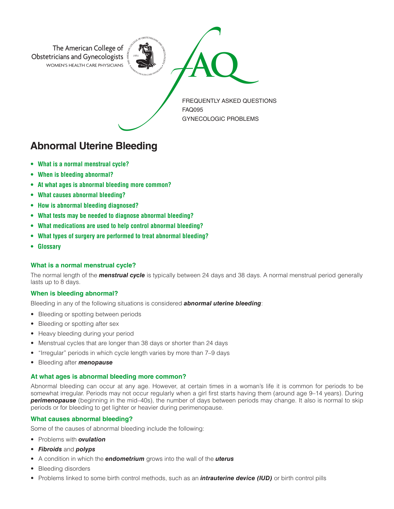

**Abnormal Uterine Bleeding**

- **• What is a normal menstrual cycle?**
- **• When is bleeding abnormal?**
- **• At what ages is abnormal bleeding more common?**
- **• What causes abnormal bleeding?**
- **• How is abnormal bleeding diagnosed?**
- **• What tests may be needed to diagnose abnormal bleeding?**
- **• What medications are used to help control abnormal bleeding?**
- **• What types of surgery are performed to treat abnormal bleeding?**
- **• Glossary**

# **What is a normal menstrual cycle?**

The normal length of the *menstrual cycle* is typically between 24 days and 38 days. A normal menstrual period generally lasts up to 8 days.

# **When is bleeding abnormal?**

Bleeding in any of the following situations is considered *abnormal uterine bleeding*:

- Bleeding or spotting between periods
- Bleeding or spotting after sex
- Heavy bleeding during your period
- Menstrual cycles that are longer than 38 days or shorter than 24 days
- "Irregular" periods in which cycle length varies by more than 7–9 days
- Bleeding after *menopause*

# **At what ages is abnormal bleeding more common?**

Abnormal bleeding can occur at any age. However, at certain times in a woman's life it is common for periods to be somewhat irregular. Periods may not occur regularly when a girl first starts having them (around age 9–14 years). During *perimenopause* (beginning in the mid–40s), the number of days between periods may change. It also is normal to skip periods or for bleeding to get lighter or heavier during perimenopause.

# **What causes abnormal bleeding?**

Some of the causes of abnormal bleeding include the following:

- Problems with *ovulation*
- *Fibroids* and *polyps*
- A condition in which the *endometrium* grows into the wall of the *uterus*
- Bleeding disorders
- Problems linked to some birth control methods, such as an *intrauterine device (IUD)* or birth control pills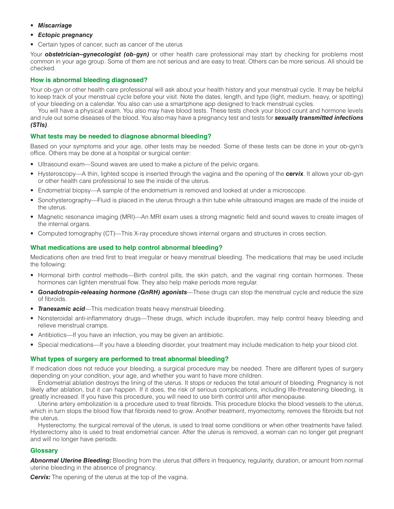- *Miscarriage*
- *Ectopic pregnancy*
- Certain types of cancer, such as cancer of the uterus

Your *obstetrician–gynecologist (ob-gyn)* or other health care professional may start by checking for problems most common in your age group. Some of them are not serious and are easy to treat. Others can be more serious. All should be checked.

# **How is abnormal bleeding diagnosed?**

Your ob-gyn or other health care professional will ask about your health history and your menstrual cycle. It may be helpful to keep track of your menstrual cycle before your visit. Note the dates, length, and type (light, medium, heavy, or spotting) of your bleeding on a calendar. You also can use a smartphone app designed to track menstrual cycles.

You will have a physical exam. You also may have blood tests. These tests check your blood count and hormone levels and rule out some diseases of the blood. You also may have a pregnancy test and tests for *sexually transmitted infections (STIs)*.

# **What tests may be needed to diagnose abnormal bleeding?**

Based on your symptoms and your age, other tests may be needed. Some of these tests can be done in your ob-gyn's office. Others may be done at a hospital or surgical center:

- Ultrasound exam—Sound waves are used to make a picture of the pelvic organs.
- Hysteroscopy—A thin, lighted scope is inserted through the vagina and the opening of the *cervix*. It allows your ob-gyn or other health care professional to see the inside of the uterus.
- Endometrial biopsy—A sample of the endometrium is removed and looked at under a microscope.
- Sonohysterography—Fluid is placed in the uterus through a thin tube while ultrasound images are made of the inside of the uterus.
- Magnetic resonance imaging (MRI)—An MRI exam uses a strong magnetic field and sound waves to create images of the internal organs.
- Computed tomography (CT)—This X-ray procedure shows internal organs and structures in cross section.

# **What medications are used to help control abnormal bleeding?**

Medications often are tried first to treat irregular or heavy menstrual bleeding. The medications that may be used include the following:

- Hormonal birth control methods—Birth control pills, the skin patch, and the vaginal ring contain hormones. These hormones can lighten menstrual flow. They also help make periods more regular.
- *Gonadotropin-releasing hormone (GnRH) agonists*—These drugs can stop the menstrual cycle and reduce the size of fibroids.
- **Tranexamic acid**—This medication treats heavy menstrual bleeding.
- Nonsteroidal anti-inflammatory drugs—These drugs, which include ibuprofen, may help control heavy bleeding and relieve menstrual cramps.
- Antibiotics—If you have an infection, you may be given an antibiotic.
- Special medications—If you have a bleeding disorder, your treatment may include medication to help your blood clot.

# **What types of surgery are performed to treat abnormal bleeding?**

If medication does not reduce your bleeding, a surgical procedure may be needed. There are different types of surgery depending on your condition, your age, and whether you want to have more children.

Endometrial ablation destroys the lining of the uterus. It stops or reduces the total amount of bleeding. Pregnancy is not likely after ablation, but it can happen. If it does, the risk of serious complications, including life-threatening bleeding, is greatly increased. If you have this procedure, you will need to use birth control until after menopause.

Uterine artery embolization is a procedure used to treat fibroids. This procedure blocks the blood vessels to the uterus, which in turn stops the blood flow that fibroids need to grow. Another treatment, myomectomy, removes the fibroids but not the uterus.

Hysterectomy, the surgical removal of the uterus, is used to treat some conditions or when other treatments have failed. Hysterectomy also is used to treat endometrial cancer. After the uterus is removed, a woman can no longer get pregnant and will no longer have periods.

# **Glossary**

*Abnormal Uterine Bleeding:* Bleeding from the uterus that differs in frequency, regularity, duration, or amount from normal uterine bleeding in the absence of pregnancy.

*Cervix:* The opening of the uterus at the top of the vagina.